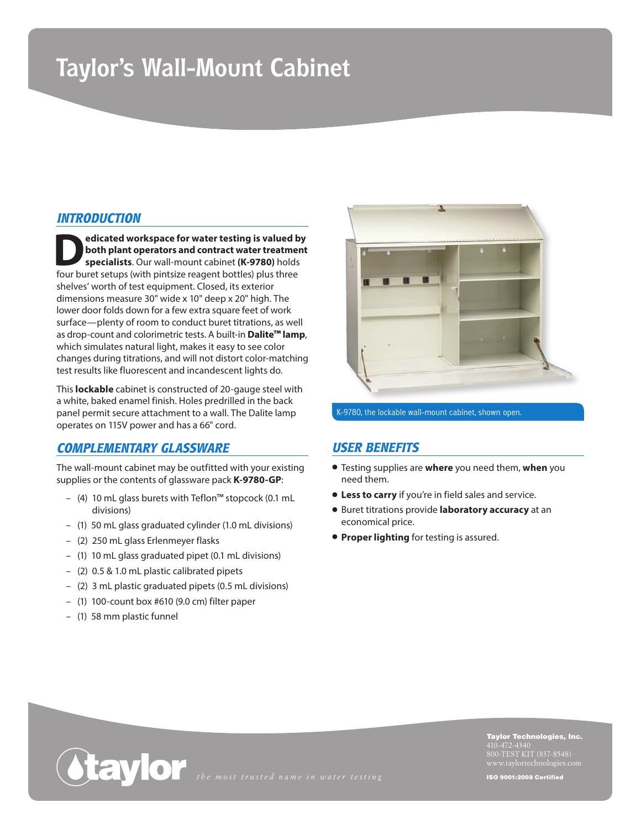# **Taylor's Wall-Mount Cabinet**

### *INTRODUCTION*

**Pedicated workspace for water testing is valued by<br>both plant operators and contract water treatment<br>specialists. Our wall-mount cabinet (K-9780) holds<br>four burst seture (with pintsize reasont bettles) plus three both plant operators and contract water treatment specialists**. Our wall-mount cabinet **(K-9780)** holds four buret setups (with pintsize reagent bottles) plus three shelves' worth of test equipment. Closed, its exterior dimensions measure 30" wide x 10" deep x 20" high. The lower door folds down for a few extra square feet of work surface—plenty of room to conduct buret titrations, as well as drop-count and colorimetric tests. A built-in **Dalite™ lamp**, which simulates natural light, makes it easy to see color changes during titrations, and will not distort color-matching test results like fluorescent and incandescent lights do.

This **lockable** cabinet is constructed of 20-gauge steel with a white, baked enamel finish. Holes predrilled in the back panel permit secure attachment to a wall. The Dalite lamp operates on 115V power and has a 66" cord.

### *COMPLEMENTARY GLASSWARE*

The wall-mount cabinet may be outfitted with your existing supplies or the contents of glassware pack **K-9780-GP**:

- (4) 10 mL glass burets with Teflon™ stopcock (0.1 mL divisions)
- (1) 50 mL glass graduated cylinder (1.0 mL divisions)
- (2) 250 mL glass Erlenmeyer flasks
- (1) 10 mL glass graduated pipet (0.1 mL divisions)
- (2) 0.5 & 1.0 mL plastic calibrated pipets
- (2) 3 mL plastic graduated pipets (0.5 mL divisions)
- (1) 100-count box #610 (9.0 cm) filter paper
- (1) 58 mm plastic funnel



K-9780, the lockable wall-mount cabinet, shown open.

#### *USER BENEFITS*

- Testing supplies are **where** you need them, **when** you need them.
- **Less to carry** if you're in field sales and service.
- Buret titrations provide **laboratory accuracy** at an economical price.
- **Proper lighting** for testing is assured.



Taylor Technologies, Inc. 800-TEST KIT (837-8548)

ISO 9001:2008 Certified